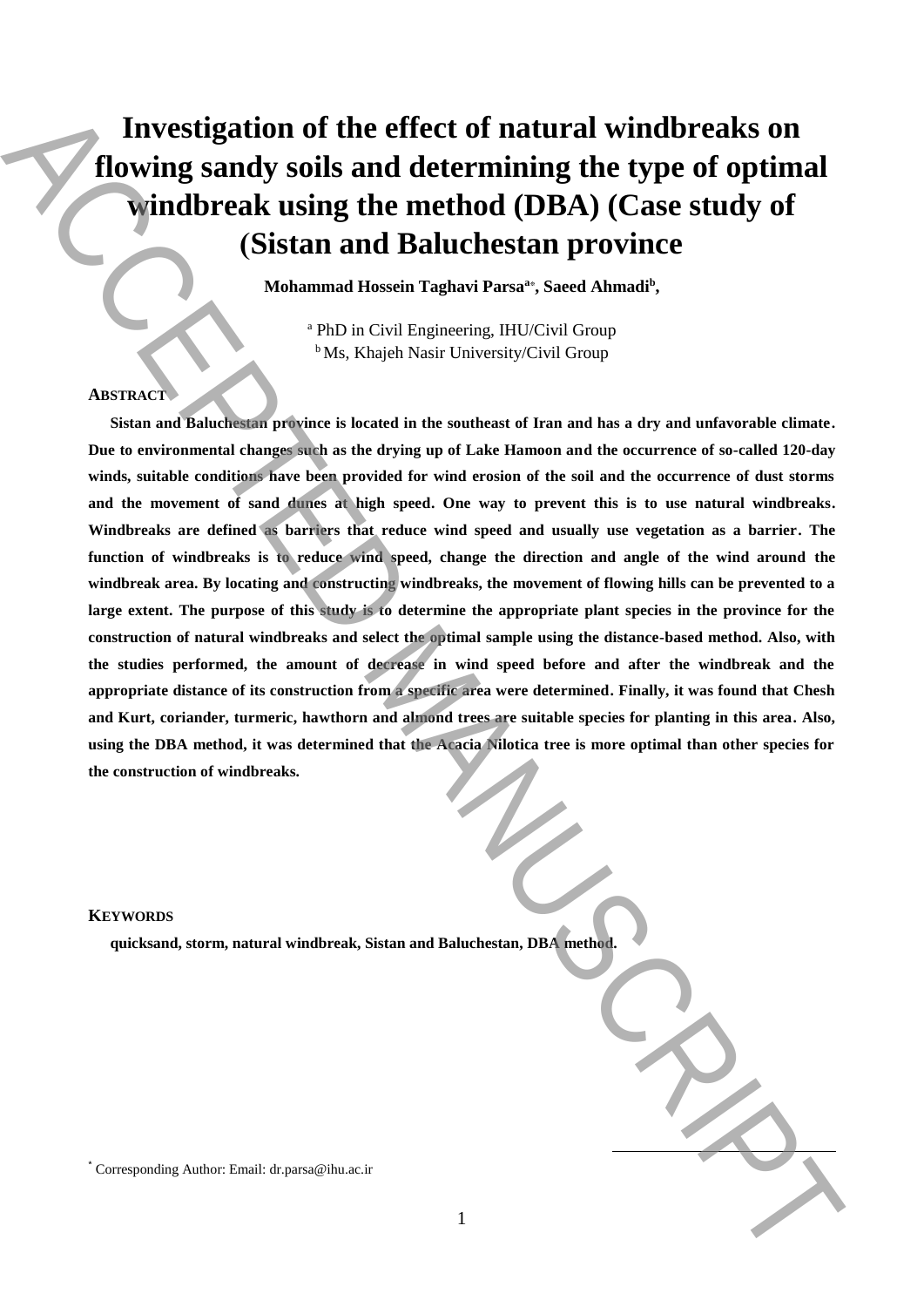# **Investigation of the effect of natural windbreaks on flowing sandy soils and determining the type of optimal windbreak using the method (DBA) (Case study of )Sistan and Baluchestan province**

**Mohammad Hossein Taghavi Parsa<sup>a</sup>**\* **, Saeed Ahmadi<sup>b</sup> ,**

<sup>a</sup> PhD in Civil Engineering, IHU/Civil Group <sup>b</sup>Ms, Khajeh Nasir University/Civil Group

### **ABSTRACT**

**Sistan and Baluchestan province is located in the southeast of Iran and has a dry and unfavorable climate. Due to environmental changes such as the drying up of Lake Hamoon and the occurrence of so-called 120-day winds, suitable conditions have been provided for wind erosion of the soil and the occurrence of dust storms and the movement of sand dunes at high speed. One way to prevent this is to use natural windbreaks. Windbreaks are defined as barriers that reduce wind speed and usually use vegetation as a barrier. The**  function of windbreaks is to reduce wind speed, change the direction and angle of the wind around the **windbreak area. By locating and constructing windbreaks, the movement of flowing hills can be prevented to a large extent. The purpose of this study is to determine the appropriate plant species in the province for the construction of natural windbreaks and select the optimal sample using the distance-based method. Also, with the studies performed, the amount of decrease in wind speed before and after the windbreak and the appropriate distance of its construction from a specific area were determined. Finally, it was found that Chesh and Kurt, coriander, turmeric, hawthorn and almond trees are suitable species for planting in this area. Also, using the DBA method, it was determined that the Acacia Nilotica tree is more optimal than other species for the construction of windbreaks.** Investigation of the effect of natural windbreaks on<br>
Howing sandy soils and determining the type of optimal<br>
vanishes are set of the members of the method (DBA) (Case study of<br>
(Sistian and Baluchestan province in the st

#### **KEYWORDS**

**quicksand, storm, natural windbreak, Sistan and Baluchestan, DBA method.**

1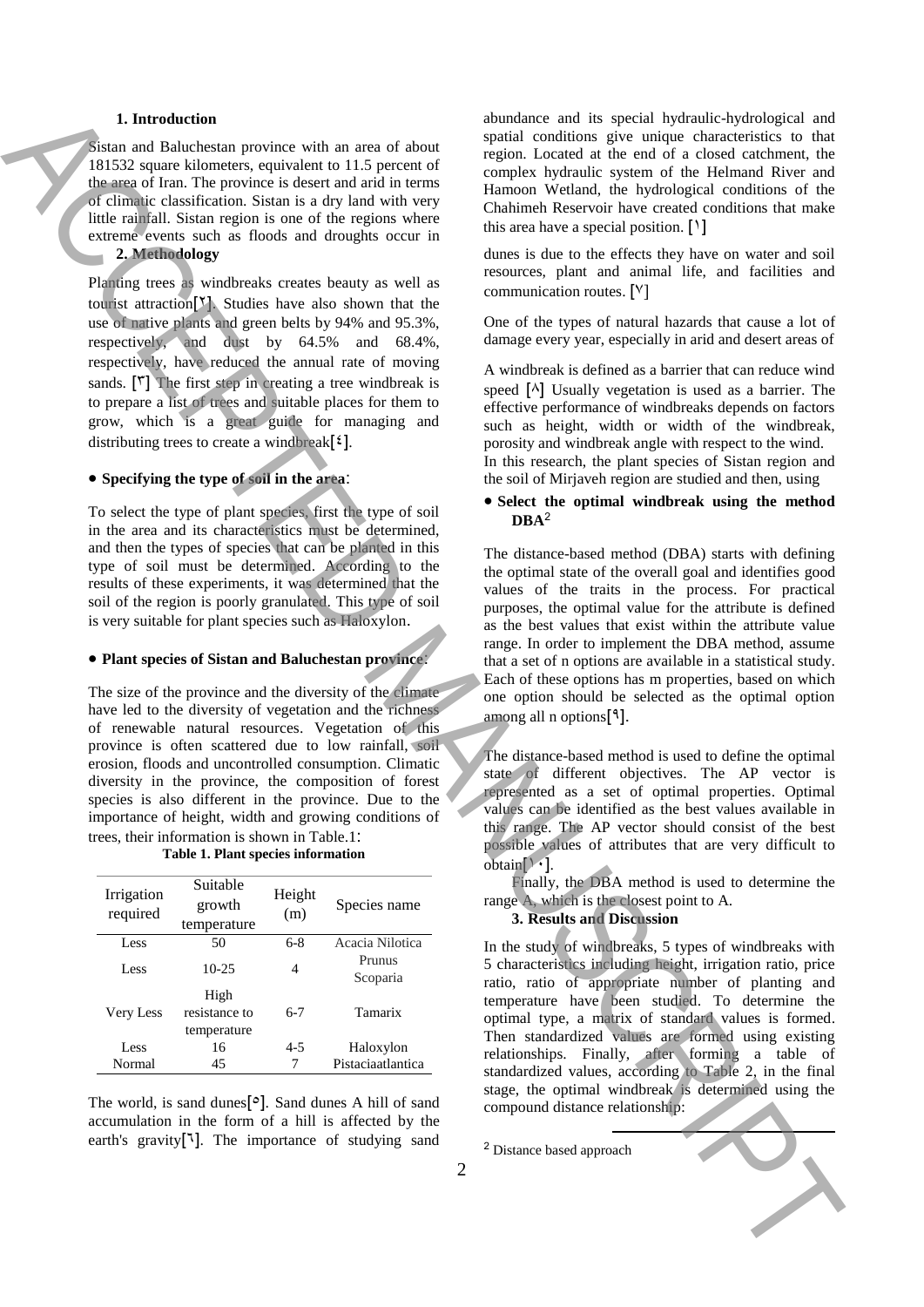#### **1. Introduction**

### **Specifying the type of soil in the area**:

#### **Plant species of Sistan and Baluchestan province**:

| <b>Table 1. Plant species information</b> |  |  |  |
|-------------------------------------------|--|--|--|
|-------------------------------------------|--|--|--|

| 1. Introduction                                                                                                                                                                                                                                                                                                                                                                                                                                                                                                                                                                                                                                                                                                                                                                                                                                                                                                                                  |                                       | abundance and its special hydraulic-hydrological and                                                                                                                                                                                                                                                                                                                                                                                                                                                                                                                                                                                                                                                                                                                                                                                                                         |
|--------------------------------------------------------------------------------------------------------------------------------------------------------------------------------------------------------------------------------------------------------------------------------------------------------------------------------------------------------------------------------------------------------------------------------------------------------------------------------------------------------------------------------------------------------------------------------------------------------------------------------------------------------------------------------------------------------------------------------------------------------------------------------------------------------------------------------------------------------------------------------------------------------------------------------------------------|---------------------------------------|------------------------------------------------------------------------------------------------------------------------------------------------------------------------------------------------------------------------------------------------------------------------------------------------------------------------------------------------------------------------------------------------------------------------------------------------------------------------------------------------------------------------------------------------------------------------------------------------------------------------------------------------------------------------------------------------------------------------------------------------------------------------------------------------------------------------------------------------------------------------------|
| Sistan and Baluchestan province with an area of about<br>181532 square kilometers, equivalent to 11.5 percent of<br>the area of Iran. The province is desert and arid in terms<br>of climatic classification. Sistan is a dry land with very<br>little rainfall. Sistan region is one of the regions where<br>extreme events such as floods and droughts occur in<br>2. Methodology                                                                                                                                                                                                                                                                                                                                                                                                                                                                                                                                                              |                                       | spatial conditions give unique characteristics to that<br>region. Located at the end of a closed catchment, the<br>complex hydraulic system of the Helmand River and<br>Hamoon Wetland, the hydrological conditions of the<br>Chahimeh Reservoir have created conditions that make<br>this area have a special position. $[1]$<br>dunes is due to the effects they have on water and soil                                                                                                                                                                                                                                                                                                                                                                                                                                                                                    |
| Planting trees as windbreaks creates beauty as well as<br>tourist attraction <sup>[Y]</sup> . Studies have also shown that the<br>use of native plants and green belts by 94% and 95.3%,<br>respectively, and dust by 64.5% and 68.4%,<br>respectively, have reduced the annual rate of moving<br>sands. $[\tilde{r}]$ The first step in creating a tree windbreak is<br>to prepare a list of trees and suitable places for them to                                                                                                                                                                                                                                                                                                                                                                                                                                                                                                              |                                       | resources, plant and animal life, and facilities and<br>communication routes. [ <sup>V</sup> ]<br>One of the types of natural hazards that cause a lot of<br>damage every year, especially in arid and desert areas of<br>A windbreak is defined as a barrier that can reduce wind<br>speed $[\wedge]$ Usually vegetation is used as a barrier. The                                                                                                                                                                                                                                                                                                                                                                                                                                                                                                                          |
| grow, which is a great guide for managing and<br>distributing trees to create a windbreak $[\xi]$ .<br>• Specifying the type of soil in the area:                                                                                                                                                                                                                                                                                                                                                                                                                                                                                                                                                                                                                                                                                                                                                                                                |                                       | effective performance of windbreaks depends on factors<br>such as height, width or width of the windbreak,<br>porosity and windbreak angle with respect to the wind.<br>In this research, the plant species of Sistan region and<br>the soil of Mirjaveh region are studied and then, using<br>• Select the optimal windbreak using the method                                                                                                                                                                                                                                                                                                                                                                                                                                                                                                                               |
| To select the type of plant species, first the type of soil                                                                                                                                                                                                                                                                                                                                                                                                                                                                                                                                                                                                                                                                                                                                                                                                                                                                                      |                                       | $\mathbf{DBA}^2$                                                                                                                                                                                                                                                                                                                                                                                                                                                                                                                                                                                                                                                                                                                                                                                                                                                             |
| in the area and its characteristics must be determined,<br>and then the types of species that can be planted in this<br>type of soil must be determined. According to the<br>results of these experiments, it was determined that the<br>soil of the region is poorly granulated. This type of soil<br>is very suitable for plant species such as Haloxylon.<br>• Plant species of Sistan and Baluchestan province:<br>The size of the province and the diversity of the climate<br>have led to the diversity of vegetation and the richness<br>of renewable natural resources. Vegetation of this<br>province is often scattered due to low rainfall, soil<br>erosion, floods and uncontrolled consumption. Climatic<br>diversity in the province, the composition of forest<br>species is also different in the province. Due to the<br>importance of height, width and growing conditions of<br>trees, their information is shown in Table.1: |                                       | The distance-based method (DBA) starts with defining<br>the optimal state of the overall goal and identifies good<br>values of the traits in the process. For practical<br>purposes, the optimal value for the attribute is defined<br>as the best values that exist within the attribute value<br>range. In order to implement the DBA method, assume<br>that a set of n options are available in a statistical study.<br>Each of these options has m properties, based on which<br>one option should be selected as the optimal option<br>among all n options $[$ <sup>4</sup> ].<br>The distance-based method is used to define the optimal<br>state of different objectives. The AP vector is<br>represented as a set of optimal properties. Optimal<br>values can be identified as the best values available in<br>this range. The AP vector should consist of the best |
| Table 1. Plant species information                                                                                                                                                                                                                                                                                                                                                                                                                                                                                                                                                                                                                                                                                                                                                                                                                                                                                                               |                                       | possible values of attributes that are very difficult to<br>$obtain[\cdot]$ .                                                                                                                                                                                                                                                                                                                                                                                                                                                                                                                                                                                                                                                                                                                                                                                                |
| Suitable<br>Height<br>Irrigation<br>growth<br>required<br>(m)<br>temperature                                                                                                                                                                                                                                                                                                                                                                                                                                                                                                                                                                                                                                                                                                                                                                                                                                                                     | Species name                          | Finally, the DBA method is used to determine the<br>range A, which is the closest point to A.<br>3. Results and Discussion                                                                                                                                                                                                                                                                                                                                                                                                                                                                                                                                                                                                                                                                                                                                                   |
| 50<br>$6 - 8$<br>Less<br>$10-25$<br>Less<br>4<br>High                                                                                                                                                                                                                                                                                                                                                                                                                                                                                                                                                                                                                                                                                                                                                                                                                                                                                            | Acacia Nilotica<br>Prunus<br>Scoparia | In the study of windbreaks, 5 types of windbreaks with<br>5 characteristics including height, irrigation ratio, price<br>ratio, ratio of appropriate number of planting and                                                                                                                                                                                                                                                                                                                                                                                                                                                                                                                                                                                                                                                                                                  |
| resistance to<br>Very Less<br>$6 - 7$<br>temperature                                                                                                                                                                                                                                                                                                                                                                                                                                                                                                                                                                                                                                                                                                                                                                                                                                                                                             | Tamarix                               | temperature have been studied. To determine the<br>optimal type, a matrix of standard values is formed.                                                                                                                                                                                                                                                                                                                                                                                                                                                                                                                                                                                                                                                                                                                                                                      |
| $4 - 5$<br>Less<br>16                                                                                                                                                                                                                                                                                                                                                                                                                                                                                                                                                                                                                                                                                                                                                                                                                                                                                                                            | Haloxylon                             | Then standardized values are formed using existing<br>relationships. Finally, after forming a table of                                                                                                                                                                                                                                                                                                                                                                                                                                                                                                                                                                                                                                                                                                                                                                       |
| Normal<br>7<br>45<br>The world, is sand dunes $[°]$ . Sand dunes A hill of sand<br>accumulation in the form of a hill is affected by the<br>earth's gravity <sup>[1]</sup> . The importance of studying sand                                                                                                                                                                                                                                                                                                                                                                                                                                                                                                                                                                                                                                                                                                                                     | Pistaciaatlantica<br>2                | standardized values, according to Table 2, in the final<br>stage, the optimal windbreak is determined using the<br>compound distance relationship:<br><sup>2</sup> Distance based approach                                                                                                                                                                                                                                                                                                                                                                                                                                                                                                                                                                                                                                                                                   |
|                                                                                                                                                                                                                                                                                                                                                                                                                                                                                                                                                                                                                                                                                                                                                                                                                                                                                                                                                  |                                       |                                                                                                                                                                                                                                                                                                                                                                                                                                                                                                                                                                                                                                                                                                                                                                                                                                                                              |

## **Select the optimal windbreak using the method**   $DBA<sup>2</sup>$

### **3. Results and Discussion**